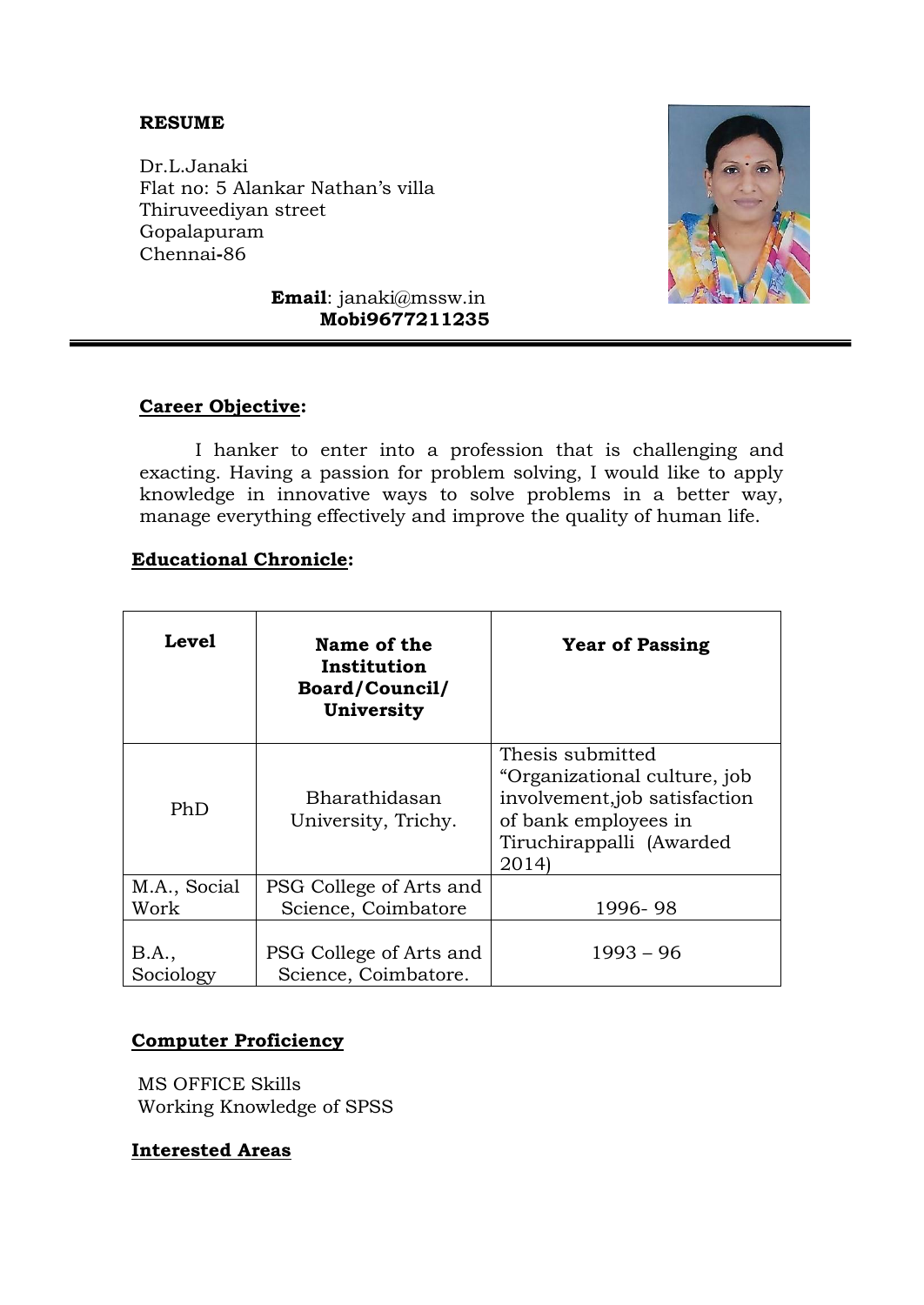### **RESUME**

Dr.L.Janaki Flat no: 5 Alankar Nathan's villa Thiruveediyan street Gopalapuram Chennai**-**86



**Email**: janaki@mssw.in  **Mobi9677211235**

#### **Career Objective:**

I hanker to enter into a profession that is challenging and exacting. Having a passion for problem solving, I would like to apply knowledge in innovative ways to solve problems in a better way, manage everything effectively and improve the quality of human life.

#### **Educational Chronicle:**

| <b>Level</b>         | Name of the<br>Institution<br><b>Board/Council/</b><br>University | <b>Year of Passing</b>                                                                                                                        |
|----------------------|-------------------------------------------------------------------|-----------------------------------------------------------------------------------------------------------------------------------------------|
| PhD                  | Bharathidasan<br>University, Trichy.                              | Thesis submitted<br>"Organizational culture, job<br>involvement, job satisfaction<br>of bank employees in<br>Tiruchirappalli (Awarded<br>2014 |
| M.A., Social<br>Work | PSG College of Arts and<br>Science, Coimbatore                    | 1996-98                                                                                                                                       |
| B.A.,<br>Sociology   | PSG College of Arts and<br>Science, Coimbatore.                   | $1993 - 96$                                                                                                                                   |

#### **Computer Proficiency**

MS OFFICE Skills Working Knowledge of SPSS

#### **Interested Areas**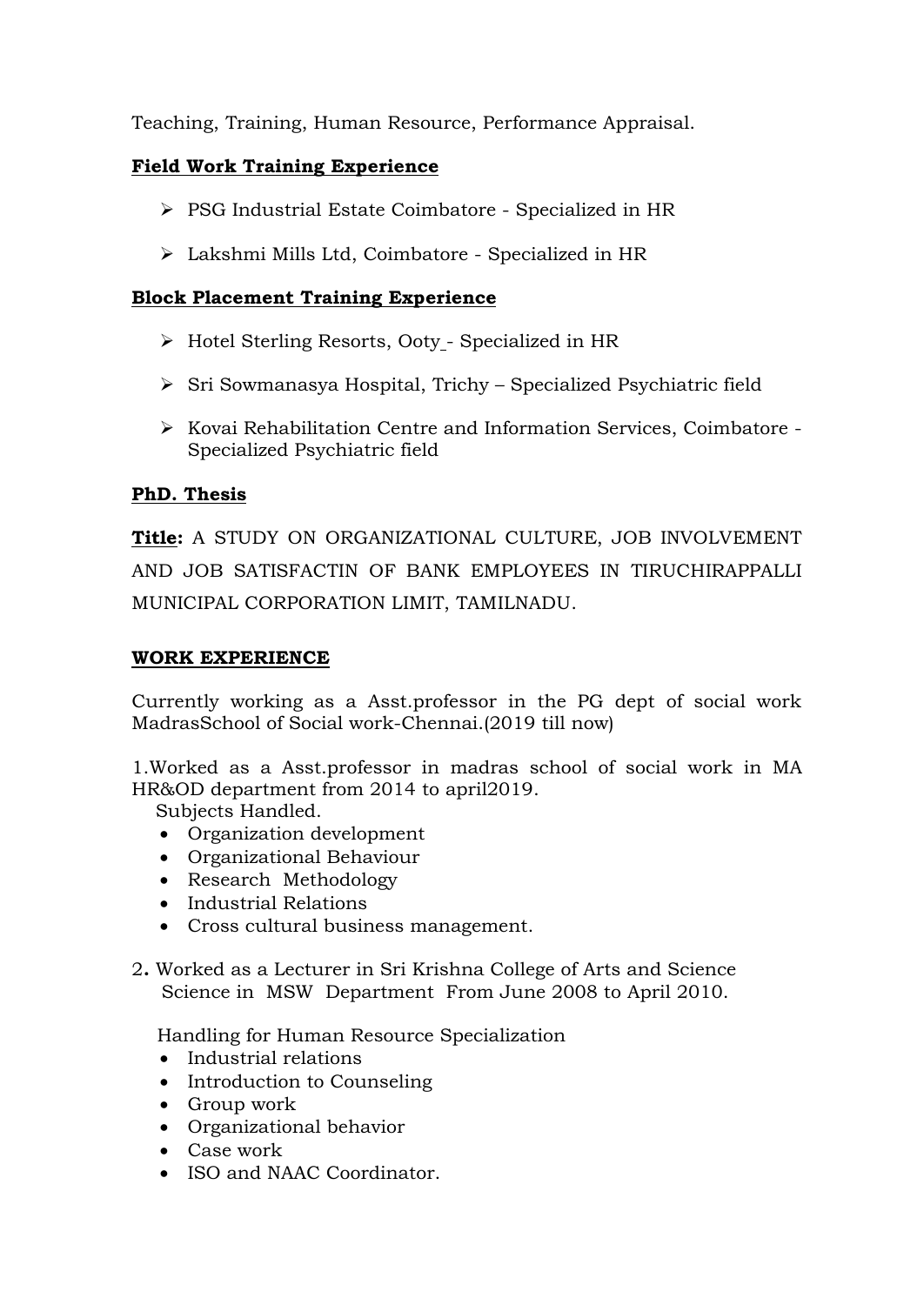Teaching, Training, Human Resource, Performance Appraisal.

# **Field Work Training Experience**

- PSG Industrial Estate Coimbatore Specialized in HR
- Lakshmi Mills Ltd, Coimbatore Specialized in HR

### **Block Placement Training Experience**

- Hotel Sterling Resorts, Ooty Specialized in HR
- $\triangleright$  Sri Sowmanasya Hospital, Trichy Specialized Psychiatric field
- $\triangleright$  Kovai Rehabilitation Centre and Information Services, Coimbatore -Specialized Psychiatric field

### **PhD. Thesis**

**Title:** A STUDY ON ORGANIZATIONAL CULTURE, JOB INVOLVEMENT AND JOB SATISFACTIN OF BANK EMPLOYEES IN TIRUCHIRAPPALLI MUNICIPAL CORPORATION LIMIT, TAMILNADU.

### **WORK EXPERIENCE**

Currently working as a Asst.professor in the PG dept of social work MadrasSchool of Social work-Chennai.(2019 till now)

1.Worked as a Asst.professor in madras school of social work in MA HR&OD department from 2014 to april2019.

Subjects Handled.

- Organization development
- Organizational Behaviour
- Research Methodology
- Industrial Relations
- Cross cultural business management.
- 2**.** Worked as a Lecturer in Sri Krishna College of Arts and Science Science in MSW Department From June 2008 to April 2010.

Handling for Human Resource Specialization

- Industrial relations
- Introduction to Counseling
- Group work
- Organizational behavior
- Case work
- ISO and NAAC Coordinator.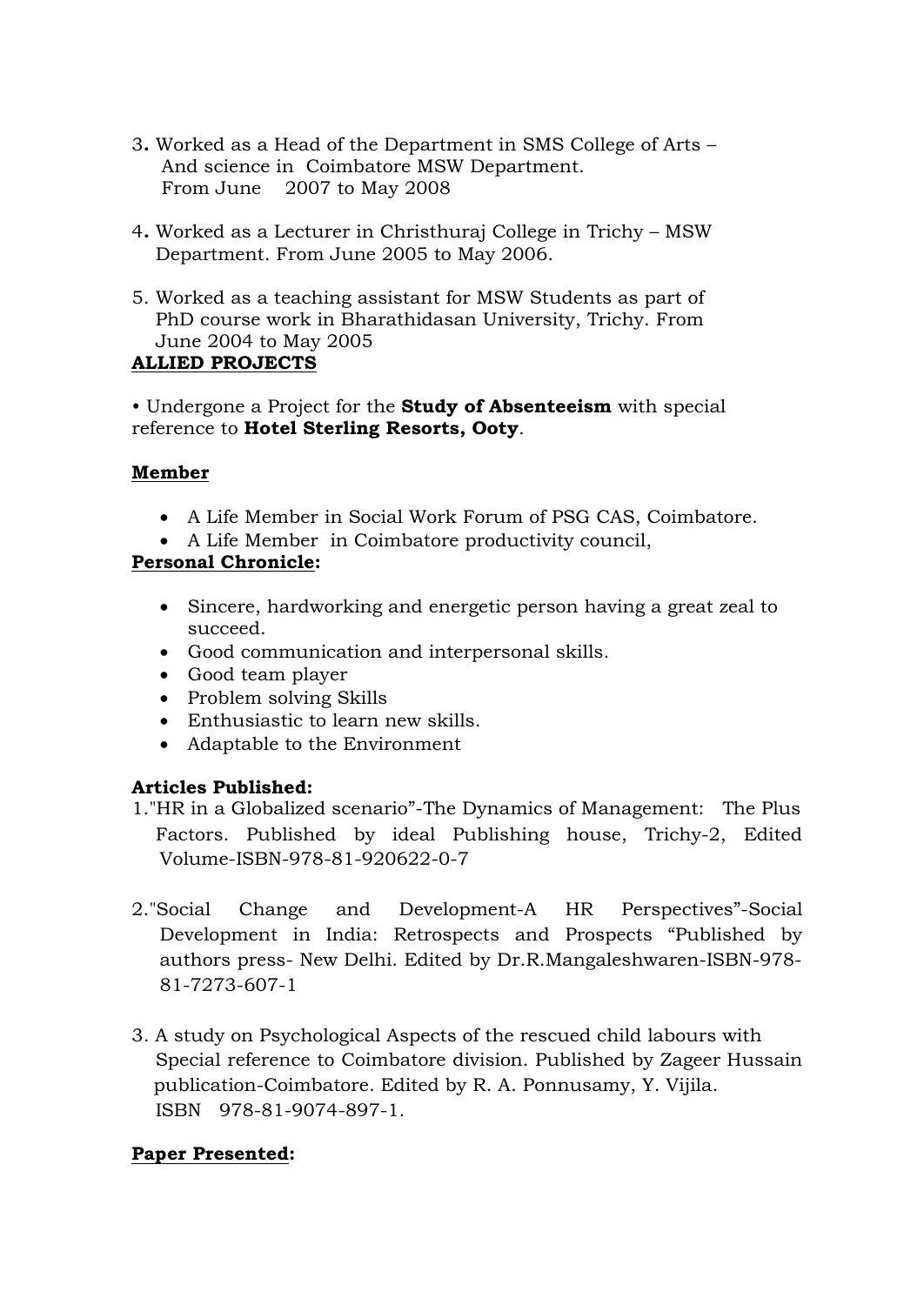- 3**.** Worked as a Head of the Department in SMS College of Arts And science in Coimbatore MSW Department. From June 2007 to May 2008
- 4**.** Worked as a Lecturer in Christhuraj College in Trichy MSW Department. From June 2005 to May 2006.
- 5. Worked as a teaching assistant for MSW Students as part of PhD course work in Bharathidasan University, Trichy. From June 2004 to May 2005

### **ALLIED PROJECTS**

• Undergone a Project for the **Study of Absenteeism** with special reference to **Hotel Sterling Resorts, Ooty**.

## **Member**

- A Life Member in Social Work Forum of PSG CAS, Coimbatore.
- A Life Member in Coimbatore productivity council,

## **Personal Chronicle:**

- Sincere, hardworking and energetic person having a great zeal to succeed.
- Good communication and interpersonal skills.
- Good team player
- Problem solving Skills
- Enthusiastic to learn new skills.
- Adaptable to the Environment

# **Articles Published:**

- 1."HR in a Globalized scenario"-The Dynamics of Management: The Plus Factors. Published by ideal Publishing house, Trichy-2, Edited Volume-ISBN-978-81-920622-0-7
- 2."Social Change and Development-A HR Perspectives"-Social Development in India: Retrospects and Prospects "Published by authors press- New Delhi. Edited by Dr.R.Mangaleshwaren-ISBN-978- 81-7273-607-1
- 3. A study on Psychological Aspects of the rescued child labours with Special reference to Coimbatore division. Published by Zageer Hussain publication-Coimbatore. Edited by R. A. Ponnusamy, Y. Vijila. ISBN 978-81-9074-897-1.

# **Paper Presented:**